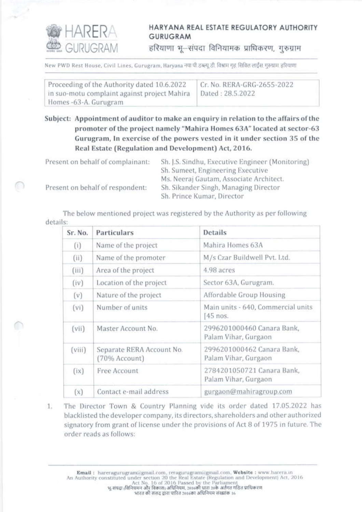

## HARYANA REAL ESTATE REGULATORY AUTHORITY GURUGRAM

हरियाणा भू-संपदा विनियामक प्राधिकरण, गुरुग्राम

New PWD Rest House, Civil Lines, Gurugram, Haryana नया पी.इब्ल्यू.डी. विश्वाम गृह सिविल लाईंस. गुरुग्राम. हरियाणा

| Proceeding of the Authority dated 10.6.2022  | Cr. No. RERA-GRG-2655-2022 |
|----------------------------------------------|----------------------------|
| in suo-motu complaint against project Mahira | Dated: 28.5.2022           |
| Homes -63-A. Gurugram                        |                            |

Subject: Appointment of auditor to make an enquiry in relation to the affairs of the promoter of the project namely "Mahira Homes 63A" located at sector-63 Gurugram, In exercise of the powers vested in it under section 35 of the Real Estate (Regulation and Development) Act, 2016.

| Present on behalf of complainant: | Sh. J.S. Sindhu, Executive Engineer (Monitoring) |
|-----------------------------------|--------------------------------------------------|
|                                   | Sh. Sumeet, Engineering Executive                |
|                                   | Ms. Neeraj Gautam, Associate Architect.          |
| Present on behalf of respondent:  | Sh. Sikander Singh, Managing Director            |
|                                   | Sh. Prince Kumar, Director                       |

The below mentioned project was registered by the Authority as per following details:

| Sr. No. | Particulars                                | <b>Details</b>                                     |
|---------|--------------------------------------------|----------------------------------------------------|
| (i)     | Name of the project                        | Mahira Homes 63A                                   |
| (ii)    | Name of the promoter                       | M/s Czar Buildwell Pvt. Ltd.                       |
| (iii)   | Area of the project                        | 4.98 acres                                         |
| (iv)    | Location of the project                    | Sector 63A, Gurugram.                              |
| (v)     | Nature of the project                      | Affordable Group Housing                           |
| $(v_i)$ | Number of units                            | Main units - 640, Commercial units<br>45 nos.      |
| (vii)   | Master Account No.                         | 2996201000460 Canara Bank,<br>Palam Vihar, Gurgaon |
| (viii)  | Separate RERA Account No.<br>(70% Account) | 2996201000462 Canara Bank,<br>Palam Vihar, Gurgaon |
| (ix)    | Free Account                               | 2784201050721 Canara Bank,<br>Palam Vihar, Gurgaon |
| (x)     | Contact e-mail address                     | gurgaon@mahiragroup.com                            |

The Director Town & Country Planning vide its order dated 17.05.2022 has 1. blacklisted the developer company, its directors, shareholders and other authorized signatory from grant of license under the provisions of Act 8 of 1975 in future. The order reads as follows:

Email : hareragurugram@gmail.com, reragurugram@gmail.com, Website : www.harera.in<br>An Authority constituted under section 20 the Real Estate (Regulation and Development) Act, 2016<br>Act No. 16 of 2016 Passed by the Parliame भारत की संसद द्वारा पारित 2016का अधिनियम संख्यांक 16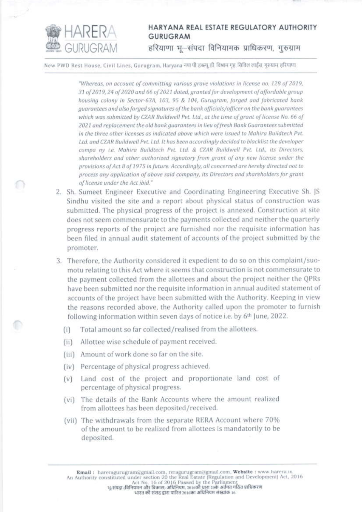

## HARYANA REAL ESTATE REGULATORY AUTHORITY **GURUGRAM** हरियाणा भू-संपदा विनियामक प्राधिकरण, गुरुग्राम

New PWD Rest House, Civil Lines, Gurugram, Haryana नया पी.इब्ल्यू.डी. विश्राम गृह सिविल लाईंस गरुग्राम हरियाणा

"Whereas, on account of committing various grave violations in license no. 128 of 2019, 31 of 2019, 24 of 2020 and 66 of 2021 dated, aranted for development of affordable group housing colony in Sector-63A, 103, 95 & 104, Gurugram, forged and fabricated bank guarantees and also forged signatures of the bank officials/officer on the bank guarantees which was submitted by CZAR Buildwell Pvt. Ltd., at the time of grant of license No. 66 of 2021 and replacement the old bank guarantees in lieu of fresh Bank Guarantees submitted in the three other licenses as indicated above which were issued to Mahira Buildtech Pvt. Ltd. and CZAR Buildwell Pvt. Ltd. It has been accordingly decided to blacklist the developer compa ny Le. Mahira Buildtech Pvt. Ltd. & CZAR Buildwell Pvt. Ltd., its Directors, shareholders and other authorized signatory from grant of any new license under the provisions of Act 8 of 1975 in future. Accordingly, all concerned are hereby directed not to process any application of above said company, its Directors and shareholders for grant of license under the Act ibid."

- 2. Sh. Sumeet Engineer Executive and Coordinating Engineering Executive Sh. JS Sindhu visited the site and a report about physical status of construction was submitted. The physical progress of the project is annexed. Construction at site does not seem commensurate to the payments collected and neither the quarterly progress reports of the project are furnished nor the requisite information has been filed in annual audit statement of accounts of the project submitted by the promoter.
- 3. Therefore, the Authority considered it expedient to do so on this complaint/suomotu relating to this Act where it seems that construction is not commensurate to the payment collected from the allottees and about the project neither the QPRs have been submitted nor the requisite information in annual audited statement of accounts of the project have been submitted with the Authority. Keeping in view the reasons recorded above, the Authority called upon the promoter to furnish following information within seven days of notice i.e. by 6th June, 2022.
	- Total amount so far collected/realised from the allottees.  $(i)$
	- Allottee wise schedule of payment received.  $(ii)$
	- (iii) Amount of work done so far on the site.
	- (iv) Percentage of physical progress achieved.
	- (v) Land cost of the project and proportionate land cost of percentage of physical progress.
	- (vi) The details of the Bank Accounts where the amount realized from allottees has been deposited/received.
	- (vii) The withdrawals from the separate RERA Account where 70% of the amount to be realized from allottees is mandatorily to be deposited.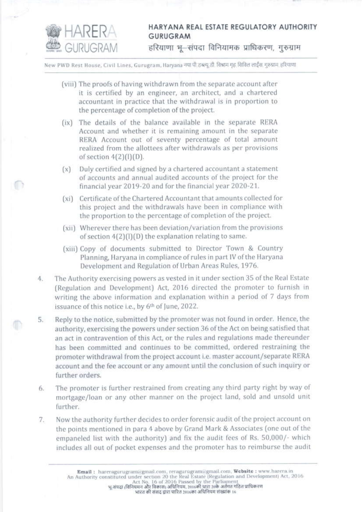

## HARYANA REAL ESTATE REGULATORY AUTHORITY **GURUGRAM**

हरियाणा भू-संपदा विनियामक प्राधिकरण, गुरुग्राम

New PWD Rest House, Civil Lines, Gurugram, Haryana नया पी.डब्ल्यू.डी. विश्राम गृह सिविल लाईस. गुरुग्राम हरियाणा

- (viii) The proofs of having withdrawn from the separate account after it is certified by an engineer, an architect, and a chartered accountant in practice that the withdrawal is in proportion to the percentage of completion of the project.
- (ix) The details of the balance available in the separate RERA Account and whether it is remaining amount in the separate RERA Account out of seventy percentage of total amount realized from the allottees after withdrawals as per provisions of section  $4(2)(1)(D)$ .
- (x) Duly certified and signed by a chartered accountant a statement of accounts and annual audited accounts of the project for the financial year 2019-20 and for the financial year 2020-21.
- (xi) Certificate of the Chartered Accountant that amounts collected for this project and the withdrawals have been in compliance with the proportion to the percentage of completion of the project.
- (xii) Wherever there has been deviation/variation from the provisions of section  $4(2)(1)(D)$  the explanation relating to same.
- (xiii) Copy of documents submitted to Director Town & Country Planning, Haryana in compliance of rules in part IV of the Haryana Development and Regulation of Urban Areas Rules, 1976.
- The Authority exercising powers as vested in it under section 35 of the Real Estate 4. (Regulation and Development) Act, 2016 directed the promoter to furnish in writing the above information and explanation within a period of 7 days from issuance of this notice i.e., by 6th of June, 2022.
- Reply to the notice, submitted by the promoter was not found in order. Hence, the 5. authority, exercising the powers under section 36 of the Act on being satisfied that an act in contravention of this Act, or the rules and regulations made thereunder has been committed and continues to be committed, ordered restraining the promoter withdrawal from the project account i.e. master account/separate RERA account and the fee account or any amount until the conclusion of such inquiry or further orders.
- The promoter is further restrained from creating any third party right by way of 6. mortgage/loan or any other manner on the project land, sold and unsold unit further.
- Now the authority further decides to order forensic audit of the project account on 7. the points mentioned in para 4 above by Grand Mark & Associates (one out of the empaneled list with the authority) and fix the audit fees of Rs. 50,000/- which includes all out of pocket expenses and the promoter has to reimburse the audit